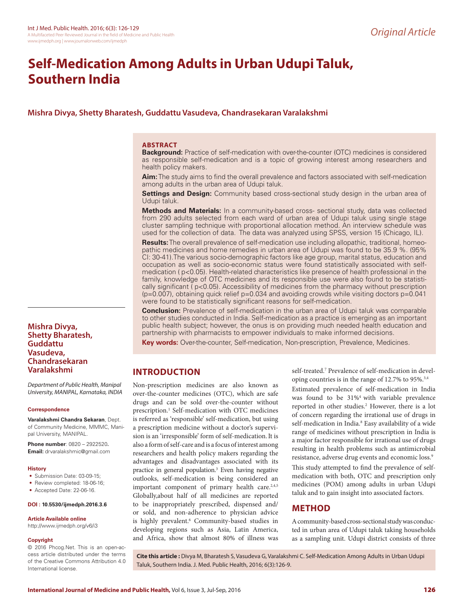# **Self-Medication Among Adults in Urban Udupi Taluk, Southern India**

# **Mishra Divya, Shetty Bharatesh, Guddattu Vasudeva, Chandrasekaran Varalakshmi**

#### **ABSTRACT**

**Background:** Practice of self-medication with over-the-counter (OTC) medicines is considered as responsible self-medication and is a topic of growing interest among researchers and health policy makers.

**Aim:** The study aims to find the overall prevalence and factors associated with self-medication among adults in the urban area of Udupi taluk.

**Settings and Design:** Community based cross-sectional study design in the urban area of Udupi taluk.

**Methods and Materials:** In a community-based cross- sectional study, data was collected from 290 adults selected from each ward of urban area of Udupi taluk using single stage cluster sampling technique with proportional allocation method. An interview schedule was used for the collection of data. The data was analyzed using SPSS, version 15 (Chicago, IL).

**Results:** The overall prevalence of self-medication use including allopathic, traditional, homeopathic medicines and home remedies in urban area of Udupi was found to be 35.9 %. (95% CI: 30-41).The various socio-demographic factors like age group, marital status, education and occupation as well as socio-economic status were found statistically associated with selfmedication ( p<0.05). Health-related characteristics like presence of health professional in the family, knowledge of OTC medicines and its responsible use were also found to be statistically significant ( $p<0.05$ ). Accessibility of medicines from the pharmacy without prescription  $(p=0.007)$ , obtaining quick relief  $p=0.034$  and avoiding crowds while visiting doctors  $p=0.041$ were found to be statistically significant reasons for self-medication.

**Conclusion:** Prevalence of self-medication in the urban area of Udupi taluk was comparable to other studies conducted in India. Self-medication as a practice is emerging as an important public health subject; however, the onus is on providing much needed health education and partnership with pharmacists to empower individuals to make informed decisions.

**Key words:** Over-the-counter, Self-medication, Non-prescription, Prevalence, Medicines.

## **INTRODUCTION**

Non-prescription medicines are also known as over-the-counter medicines (OTC), which are safe drugs and can be sold over-the-counter without prescription.<sup>1</sup> Self-medication with OTC medicines is referred as 'responsible' self-medication, but using a prescription medicine without a doctor's supervision is an 'irresponsible' form of self-medication.It is also a form of self-care and is a focus of interest among researchers and health policy makers regarding the advantages and disadvantages associated with its practice in general population.3 Even having negative outlooks, self-medication is being considered an important component of primary health care. $2,4,5$ Globally,about half of all medicines are reported to be inappropriately prescribed, dispensed and/ or sold, and non-adherence to physician advice is highly prevalent.<sup>6</sup> Community-based studies in developing regions such as Asia, Latin America, and Africa, show that almost 80% of illness was

self-treated.<sup>7</sup> Prevalence of self-medication in developing countries is in the range of 12.7% to 95%.<sup>3,4</sup>

Estimated prevalence of self-medication in India was found to be 31%4 with variable prevalence reported in other studies.<sup>2</sup> However, there is a lot of concern regarding the irrational use of drugs in self-medication in India.<sup>8</sup> Easy availability of a wide range of medicines without prescription in India is a major factor responsible for irrational use of drugs resulting in health problems such as antimicrobial resistance, adverse drug events and economic loss.<sup>9</sup> This study attempted to find the prevalence of selfmedication with both, OTC and prescription only medicines (POM) among adults in urban Udupi taluk and to gain insight into associated factors.

## **METHOD**

A community-based cross-sectional study was conducted in urban area of Udupi taluk taking households as a sampling unit. Udupi district consists of three

© 2016 Phcog.Net. This is an open-access article distributed under the terms of the Creative Commons Attribution 4.0 International license.

**Cite this article :** Divya M, Bharatesh S, Vasudeva G, Varalakshmi C. Self-Medication Among Adults in Urban Udupi Taluk, Southern India. J. Med. Public Health, 2016; 6(3):126-9.

**Mishra Divya, Shetty Bharatesh, Guddattu Vasudeva, Chandrasekaran Varalakshmi**

*Department of Public Health, Manipal University, MANIPAL, Karnataka, INDIA*

#### **Correspondence**

**Varalakshmi Chandra Sekaran**, Dept. of Community Medicine, MMMC, Manipal University, MANIPAL.

**Phone number**: 0820 – 2922520**. Email:** drvaralakshmic@gmail.com

#### **History**

- Submission Date: 03-09-15;
- Review completed: 18-06-16;
- Accepted Date: 22-06-16.

## **DOI : 10.5530/ijmedph.2016.3.6**

## **Article Available online**

http://www.ijmedph.org/v6/i3

### **Copyright**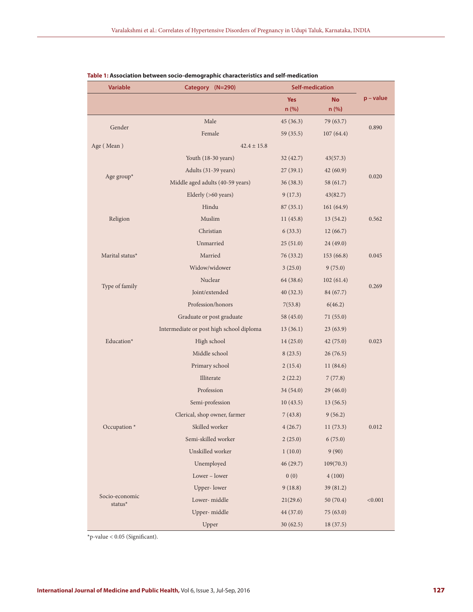| <b>Variable</b>           | Category (N=290)                         |            | <b>Self-medication</b> |           |  |
|---------------------------|------------------------------------------|------------|------------------------|-----------|--|
|                           |                                          | <b>Yes</b> | <b>No</b>              | p - value |  |
|                           |                                          | n (%)      | n (%)                  |           |  |
| Gender                    | Male                                     | 45(36.3)   | 79 (63.7)              | 0.890     |  |
|                           | Female                                   | 59(35.5)   | 107(64.4)              |           |  |
| Age (Mean)                | $42.4 \pm 15.8$                          |            |                        |           |  |
| Age group*                | Youth (18-30 years)                      | 32(42.7)   | 43(57.3)               | 0.020     |  |
|                           | Adults (31-39 years)                     | 27(39.1)   | 42(60.9)               |           |  |
|                           | Middle aged adults (40-59 years)         | 36(38.3)   | 58 (61.7)              |           |  |
|                           | Elderly (>60 years)                      | 9(17.3)    | 43(82.7)               |           |  |
|                           | Hindu                                    | 87(35.1)   | 161(64.9)              |           |  |
| Religion                  | Muslim                                   | 11(45.8)   | 13 (54.2)              | 0.562     |  |
|                           | Christian                                | 6(33.3)    | 12(66.7)               |           |  |
|                           | Unmarried                                | 25(51.0)   | 24 (49.0)              |           |  |
| Marital status*           | Married                                  | 76 (33.2)  | 153 (66.8)             | 0.045     |  |
|                           | Widow/widower                            | 3(25.0)    | 9(75.0)                |           |  |
|                           | Nuclear                                  | 64 (38.6)  | 102(61.4)              | 0.269     |  |
| Type of family            | Joint/extended                           | 40(32.3)   | 84 (67.7)              |           |  |
|                           | Profession/honors                        | 7(53.8)    | 6(46.2)                |           |  |
|                           | Graduate or post graduate                | 58 (45.0)  | 71(55.0)               | 0.023     |  |
|                           | Intermediate or post high school diploma | 13(36.1)   | 23 (63.9)              |           |  |
| Education*                | High school                              | 14(25.0)   | 42 (75.0)              |           |  |
|                           | Middle school                            | 8(23.5)    | 26(76.5)               |           |  |
|                           | Primary school                           | 2(15.4)    | 11 (84.6)              |           |  |
|                           | Illiterate                               | 2(22.2)    | 7(77.8)                |           |  |
|                           | Profession                               | 34(54.0)   | 29 (46.0)              |           |  |
|                           | Semi-profession                          | 10(43.5)   | 13(56.5)               |           |  |
|                           | Clerical, shop owner, farmer             | 7(43.8)    | 9(56.2)                | 0.012     |  |
| Occupation *              | Skilled worker                           | 4(26.7)    | 11(73.3)               |           |  |
|                           | Semi-skilled worker                      | 2(25.0)    | 6(75.0)                |           |  |
|                           | Unskilled worker                         | 1(10.0)    | 9(90)                  |           |  |
|                           | Unemployed                               | 46(29.7)   | 109(70.3)              |           |  |
| Socio-economic<br>status* | Lower - lower                            | 0(0)       | 4(100)                 |           |  |
|                           | Upper-lower                              | 9(18.8)    | 39 (81.2)              | < 0.001   |  |
|                           | Lower-middle                             | 21(29.6)   | 50 (70.4)              |           |  |
|                           | Upper-middle                             | 44 (37.0)  | 75 (63.0)              |           |  |
|                           | Upper                                    | 30(62.5)   | 18(37.5)               |           |  |

### **Table 1: Association between socio-demographic characteristics and self-medication**

 $^{\star}$ p-value < 0.05 (Significant).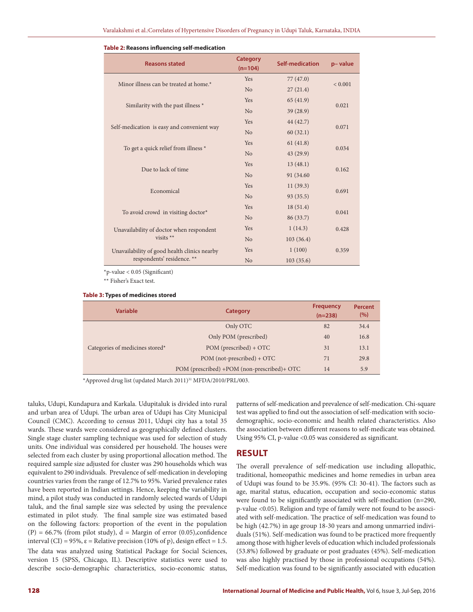| <b>Reasons stated</b>                        | <b>Category</b><br>$(n=104)$ | <b>Self-medication</b> | p-value     |  |
|----------------------------------------------|------------------------------|------------------------|-------------|--|
| Minor illness can be treated at home.*       | <b>Yes</b>                   | 77(47.0)               | ${}< 0.001$ |  |
|                                              | N <sub>o</sub>               | 27(21.4)               |             |  |
|                                              | Yes                          | 65(41.9)               | 0.021       |  |
| Similarity with the past illness *           | N <sub>o</sub>               | 39 (28.9)              |             |  |
|                                              | <b>Yes</b>                   | 44 (42.7)              | 0.071       |  |
| Self-medication is easy and convenient way   | N <sub>o</sub>               | 60(32.1)               |             |  |
|                                              | Yes                          | 61(41.8)               | 0.034       |  |
| To get a quick relief from illness *         | N <sub>o</sub>               | 43 (29.9)              |             |  |
|                                              | Yes                          | 13(48.1)               | 0.162       |  |
| Due to lack of time                          | N <sub>o</sub>               | 91 (34.60)             |             |  |
| Economical                                   | Yes                          | 11(39.3)               | 0.691       |  |
|                                              | N <sub>o</sub>               | 93 (35.5)              |             |  |
|                                              | <b>Yes</b>                   | 18(51.4)               |             |  |
| To avoid crowd in visiting doctor*           | N <sub>o</sub>               | 86 (33.7)              | 0.041       |  |
| Unavailability of doctor when respondent     | <b>Yes</b>                   | 1(14.3)                | 0.428       |  |
| visits $**$                                  | N <sub>o</sub>               | 103(36.4)              |             |  |
| Unavailability of good health clinics nearby | Yes                          | 1(100)                 | 0.359       |  |
| respondents' residence. **                   | No                           | 103(35.6)              |             |  |

#### **Table 2: Reasons influencing self-medication**

\*p-value < 0.05 (Significant)

\*\* Fisher's Exact test.

**Table 3: Types of medicines stored**

| <b>Variable</b>                 | Category                                    | <b>Frequency</b><br>$(n=238)$ | <b>Percent</b><br>(%) |
|---------------------------------|---------------------------------------------|-------------------------------|-----------------------|
|                                 | Only OTC                                    | 82                            | 34.4                  |
|                                 | Only POM (prescribed)                       | 40                            | 16.8                  |
| Categories of medicines stored* | $POM$ (prescribed) + OTC                    | 31                            | 13.1                  |
|                                 | POM (not-prescribed) + OTC                  | 71                            | 29.8                  |
|                                 | POM (prescribed) +POM (non-prescribed)+ OTC | 14                            | 5.9                   |

\*Approved drug list (updated March 2011)<sup>31</sup> MFDA/2010/PRL/003.

taluks, Udupi, Kundapura and Karkala. Udupitaluk is divided into rural and urban area of Udupi. The urban area of Udupi has City Municipal Council (CMC). According to census 2011, Udupi city has a total 35 wards. These wards were considered as geographically defined clusters. Single stage cluster sampling technique was used for selection of study units. One individual was considered per household. The houses were selected from each cluster by using proportional allocation method. The required sample size adjusted for cluster was 290 households which was equivalent to 290 individuals. Prevalence of self-medication in developing countries varies from the range of 12.7% to 95%. Varied prevalence rates have been reported in Indian settings. Hence, keeping the variability in mind, a pilot study was conducted in randomly selected wards of Udupi taluk, and the final sample size was selected by using the prevalence estimated in pilot study. The final sample size was estimated based on the following factors: proportion of the event in the population  $(P) = 66.7\%$  (from pilot study),  $d =$  Margin of error (0.05), confidence interval (CI) = 95%,  $\varepsilon$  = Relative precision (10% of p), design effect = 1.5. The data was analyzed using Statistical Package for Social Sciences, version 15 (SPSS, Chicago, IL). Descriptive statistics were used to describe socio-demographic characteristics, socio-economic status, patterns of self-medication and prevalence of self-medication. Chi-square test was applied to find out the association of self-medication with sociodemographic, socio-economic and health related characteristics. Also the association between different reasons to self-medicate was obtained. Using 95% CI, p-value <0.05 was considered as significant.

# **RESULT**

The overall prevalence of self-medication use including allopathic, traditional, homeopathic medicines and home remedies in urban area of Udupi was found to be 35.9%. (95% CI: 30-41). The factors such as age, marital status, education, occupation and socio-economic status were found to be significantly associated with self-medication (n=290, p-value <0.05). Religion and type of family were not found to be associated with self-medication. The practice of self-medication was found to be high (42.7%) in age group 18-30 years and among unmarried individuals (51%). Self-medication was found to be practiced more frequently among those with higher levels of education which included professionals (53.8%) followed by graduate or post graduates (45%). Self-medication was also highly practised by those in professional occupations (54%). Self-medication was found to be significantly associated with education